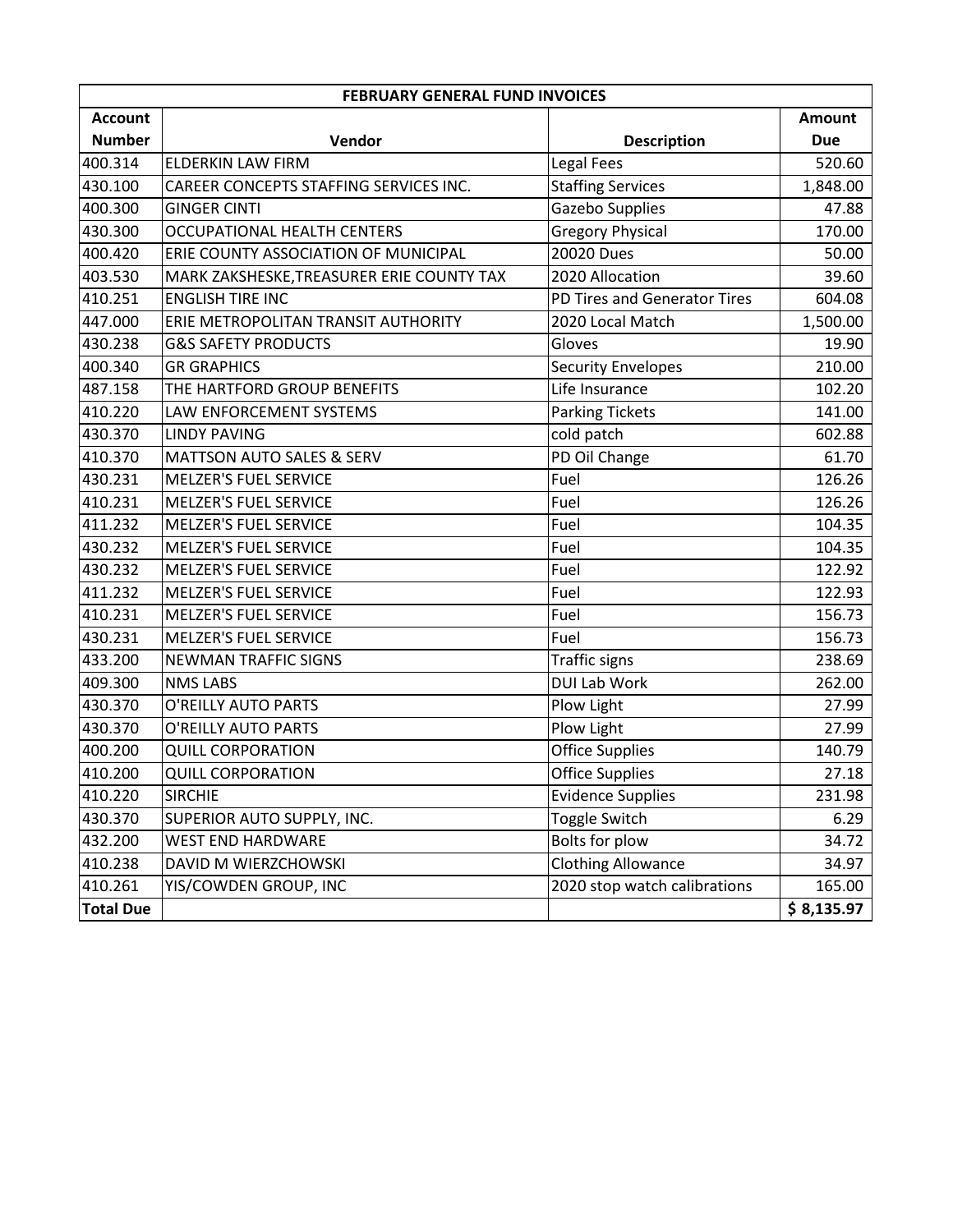| <b>FEBRUARY GENERAL FUND INVOICES</b> |                                           |                              |               |
|---------------------------------------|-------------------------------------------|------------------------------|---------------|
| <b>Account</b>                        |                                           |                              | <b>Amount</b> |
| <b>Number</b>                         | Vendor                                    | <b>Description</b>           | <b>Due</b>    |
| 400.314                               | <b>ELDERKIN LAW FIRM</b>                  | Legal Fees                   | 520.60        |
| 430.100                               | CAREER CONCEPTS STAFFING SERVICES INC.    | <b>Staffing Services</b>     | 1,848.00      |
| 400.300                               | <b>GINGER CINTI</b>                       | Gazebo Supplies              | 47.88         |
| 430.300                               | <b>OCCUPATIONAL HEALTH CENTERS</b>        | <b>Gregory Physical</b>      | 170.00        |
| 400.420                               | ERIE COUNTY ASSOCIATION OF MUNICIPAL      | 20020 Dues                   | 50.00         |
| 403.530                               | MARK ZAKSHESKE, TREASURER ERIE COUNTY TAX | 2020 Allocation              | 39.60         |
| 410.251                               | <b>ENGLISH TIRE INC</b>                   | PD Tires and Generator Tires | 604.08        |
| 447.000                               | ERIE METROPOLITAN TRANSIT AUTHORITY       | 2020 Local Match             | 1,500.00      |
| 430.238                               | <b>G&amp;S SAFETY PRODUCTS</b>            | Gloves                       | 19.90         |
| 400.340                               | <b>GR GRAPHICS</b>                        | <b>Security Envelopes</b>    | 210.00        |
| 487.158                               | THE HARTFORD GROUP BENEFITS               | Life Insurance               | 102.20        |
| 410.220                               | LAW ENFORCEMENT SYSTEMS                   | <b>Parking Tickets</b>       | 141.00        |
| 430.370                               | <b>LINDY PAVING</b>                       | cold patch                   | 602.88        |
| 410.370                               | <b>MATTSON AUTO SALES &amp; SERV</b>      | PD Oil Change                | 61.70         |
| 430.231                               | <b>MELZER'S FUEL SERVICE</b>              | Fuel                         | 126.26        |
| 410.231                               | <b>MELZER'S FUEL SERVICE</b>              | Fuel                         | 126.26        |
| 411.232                               | <b>MELZER'S FUEL SERVICE</b>              | Fuel                         | 104.35        |
| 430.232                               | <b>MELZER'S FUEL SERVICE</b>              | Fuel                         | 104.35        |
| 430.232                               | <b>MELZER'S FUEL SERVICE</b>              | Fuel                         | 122.92        |
| 411.232                               | <b>MELZER'S FUEL SERVICE</b>              | Fuel                         | 122.93        |
| 410.231                               | MELZER'S FUEL SERVICE                     | Fuel                         | 156.73        |
| 430.231                               | <b>MELZER'S FUEL SERVICE</b>              | Fuel                         | 156.73        |
| 433.200                               | <b>NEWMAN TRAFFIC SIGNS</b>               | <b>Traffic signs</b>         | 238.69        |
| 409.300                               | <b>NMS LABS</b>                           | <b>DUI Lab Work</b>          | 262.00        |
| 430.370                               | O'REILLY AUTO PARTS                       | Plow Light                   | 27.99         |
| 430.370                               | O'REILLY AUTO PARTS                       | Plow Light                   | 27.99         |
| 400.200                               | <b>QUILL CORPORATION</b>                  | <b>Office Supplies</b>       | 140.79        |
| 410.200                               | <b>QUILL CORPORATION</b>                  | <b>Office Supplies</b>       | 27.18         |
| 410.220                               | <b>SIRCHIE</b>                            | <b>Evidence Supplies</b>     | 231.98        |
| 430.370                               | SUPERIOR AUTO SUPPLY, INC.                | Toggle Switch                | 6.29          |
| 432.200                               | <b>WEST END HARDWARE</b>                  | Bolts for plow               | 34.72         |
| 410.238                               | DAVID M WIERZCHOWSKI                      | <b>Clothing Allowance</b>    | 34.97         |
| 410.261                               | YIS/COWDEN GROUP, INC                     | 2020 stop watch calibrations | 165.00        |
| <b>Total Due</b>                      |                                           |                              | \$8,135.97    |